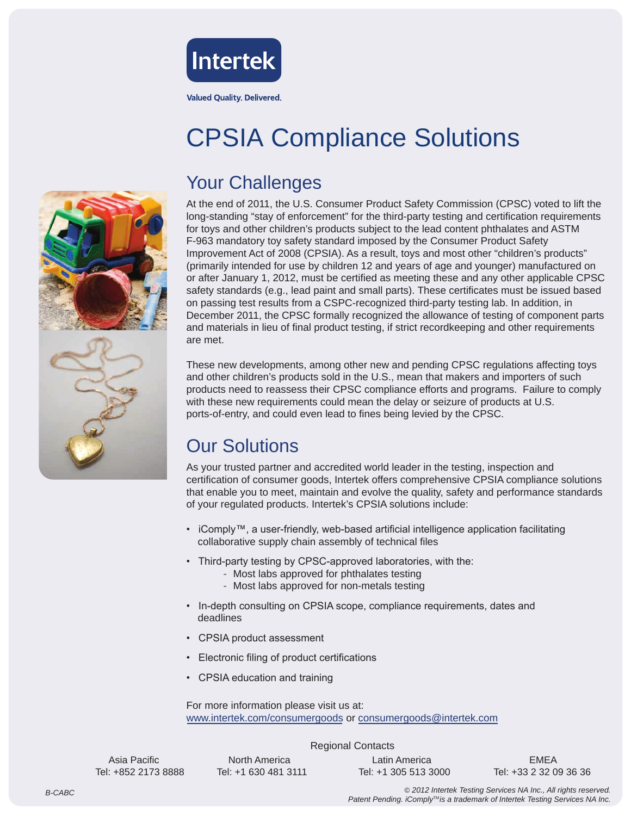

#### **Valued Quality. Delivered.**

# CPSIA Compliance Solutions

#### Your Challenges

At the end of 2011, the U.S. Consumer Product Safety Commission (CPSC) voted to lift the long-standing "stay of enforcement" for the third-party testing and certification requirements for toys and other children's products subject to the lead content phthalates and ASTM F-963 mandatory toy safety standard imposed by the Consumer Product Safety Improvement Act of 2008 (CPSIA). As a result, toys and most other "children's products" (primarily intended for use by children 12 and years of age and younger) manufactured on or after January 1, 2012, must be certified as meeting these and any other applicable CPSC safety standards (e.g., lead paint and small parts). These certificates must be issued based on passing test results from a CSPC-recognized third-party testing lab. In addition, in December 2011, the CPSC formally recognized the allowance of testing of component parts and materials in lieu of final product testing, if strict recordkeeping and other requirements are met.

These new developments, among other new and pending CPSC regulations affecting toys and other children's products sold in the U.S., mean that makers and importers of such products need to reassess their CPSC compliance efforts and programs. Failure to comply with these new requirements could mean the delay or seizure of products at U.S. ports-of-entry, and could even lead to fines being levied by the CPSC.

#### Our Solutions

As your trusted partner and accredited world leader in the testing, inspection and certification of consumer goods, Intertek offers comprehensive CPSIA compliance solutions that enable you to meet, maintain and evolve the quality, safety and performance standards of your regulated products. Intertek's CPSIA solutions include:

- iComply™, a user-friendly, web-based artificial intelligence application facilitating collaborative supply chain assembly of technical files
- Third-party testing by CPSC-approved laboratories, with the:
	- Most labs approved for phthalates testing
	- Most labs approved for non-metals testing
- In-depth consulting on CPSIA scope, compliance requirements, dates and deadlines
- CPSIA product assessment
- Electronic filing of product certifications
- CPSIA education and training

For more information please visit us at: www.intertek.com/consumergoods or consumergoods@intertek.com

Regional Contacts

Asia Pacific North America Latin America EMEA

Tel: +852 2173 8888 Tel: +1 630 481 3111 Tel: +1 305 513 3000 Tel: +33 2 32 09 36 36

© *2012 Intertek Testing Services NA Inc., All rights reserved.* Patent Pending. *iComply<sup>™</sup> is a trademark of Intertek Testing Services NA Inc.*